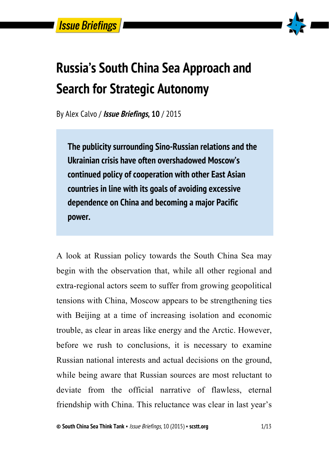

# **Russia's South China Sea Approach and Search for Strategic Autonomy**

By Alex Calvo / **Issue Briefings, 10** / 2015

**The publicity surrounding Sino-Russian relations and the Ukrainian crisis have often overshadowed Moscow's continued policy of cooperation with other East Asian countries in line with its goals of avoiding excessive dependence on China and becoming a major Pacific power.**

A look at Russian policy towards the South China Sea may begin with the observation that, while all other regional and extra-regional actors seem to suffer from growing geopolitical tensions with China, Moscow appears to be strengthening ties with Beijing at a time of increasing isolation and economic trouble, as clear in areas like energy and the Arctic. However, before we rush to conclusions, it is necessary to examine Russian national interests and actual decisions on the ground, while being aware that Russian sources are most reluctant to deviate from the official narrative of flawless, eternal friendship with China. This reluctance was clear in last year's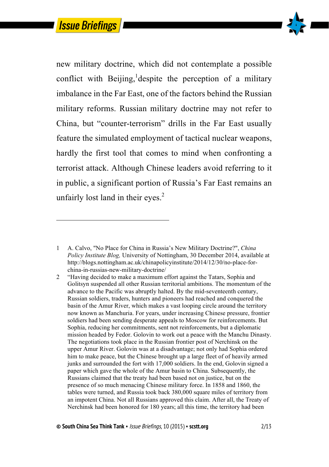$\overline{a}$ 



new military doctrine, which did not contemplate a possible conflict with Beijing, despite the perception of a military imbalance in the Far East, one of the factors behind the Russian military reforms. Russian military doctrine may not refer to China, but "counter-terrorism" drills in the Far East usually feature the simulated employment of tactical nuclear weapons, hardly the first tool that comes to mind when confronting a terrorist attack. Although Chinese leaders avoid referring to it in public, a significant portion of Russia's Far East remains an unfairly lost land in their eyes. $<sup>2</sup>$ </sup>

<sup>1</sup> A. Calvo, "No Place for China in Russia's New Military Doctrine?", *China Policy Institute Blog,* University of Nottingham, 30 December 2014, available at http://blogs.nottingham.ac.uk/chinapolicyinstitute/2014/12/30/no-place-forchina-in-russias-new-military-doctrine/

<sup>2</sup> "Having decided to make a maximum effort against the Tatars, Sophia and Golitsyn suspended all other Russian territorial ambitions. The momentum of the advance to the Pacific was abruptly halted. By the mid-seventeenth century, Russian soldiers, traders, hunters and pioneers had reached and conquered the basin of the Amur River, which makes a vast looping circle around the territory now known as Manchuria. For years, under increasing Chinese pressure, frontier soldiers had been sending desperate appeals to Moscow for reinforcements. But Sophia, reducing her commitments, sent not reinforcements, but a diplomatic mission headed by Fedor. Golovin to work out a peace with the Manchu Dinasty. The negotiations took place in the Russian frontier post of Nerchinsk on the upper Amur River. Golovin was at a disadvantage; not only had Sophia ordered him to make peace, but the Chinese brought up a large fleet of of heavily armed junks and surrounded the fort with 17,000 soldiers. In the end, Golovin signed a paper which gave the whole of the Amur basin to China. Subsequently, the Russians claimed that the treaty had been based not on justice, but on the presence of so much menacing Chinese military force. In 1858 and 1860, the tables were turned, and Russia took back 380,000 square miles of territory from an impotent China. Not all Russians approved this claim. After all, the Treaty of Nerchinsk had been honored for 180 years; all this time, the territory had been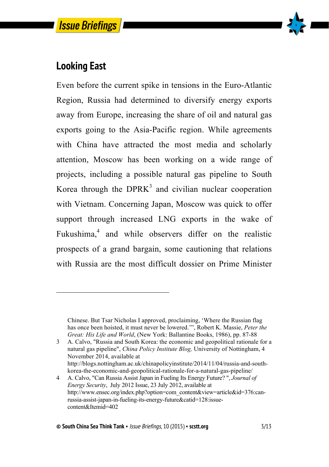

#### **Looking East**

 $\overline{a}$ 

Even before the current spike in tensions in the Euro-Atlantic Region, Russia had determined to diversify energy exports away from Europe, increasing the share of oil and natural gas exports going to the Asia-Pacific region. While agreements with China have attracted the most media and scholarly attention, Moscow has been working on a wide range of projects, including a possible natural gas pipeline to South Korea through the  $DPRK<sup>3</sup>$  and civilian nuclear cooperation with Vietnam. Concerning Japan, Moscow was quick to offer support through increased LNG exports in the wake of Fukushima,<sup>4</sup> and while observers differ on the realistic prospects of a grand bargain, some cautioning that relations with Russia are the most difficult dossier on Prime Minister

Chinese. But Tsar Nicholas I approved, proclaiming, 'Where the Russian flag has once been hoisted, it must never be lowered.'", Robert K. Massie, *Peter the Great: His Life and World*, (New York: Ballantine Books, 1986), pp. 87-88

<sup>3</sup> A. Calvo, "Russia and South Korea: the economic and geopolitical rationale for a natural gas pipeline", *China Policy Institute Blog,* University of Nottingham, 4 November 2014, available at

http://blogs.nottingham.ac.uk/chinapolicyinstitute/2014/11/04/russia-and-southkorea-the-economic-and-geopolitical-rationale-for-a-natural-gas-pipeline/

<sup>4</sup> A. Calvo, "Can Russia Assist Japan in Fueling Its Energy Future? ", *Journal of Energy Security*, July 2012 Issue, 23 July 2012, available at http://www.ensec.org/index.php?option=com\_content&view=article&id=376:canrussia-assist-japan-in-fueling-its-energy-future&catid=128:issuecontent&Itemid=402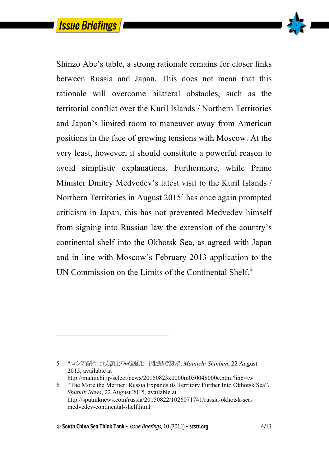

Shinzo Abe's table, a strong rationale remains for closer links between Russia and Japan. This does not mean that this rationale will overcome bilateral obstacles, such as the territorial conflict over the Kuril Islands / Northern Territories and Japan's limited room to maneuver away from American positions in the face of growing tensions with Moscow. At the very least, however, it should constitute a powerful reason to avoid simplistic explanations. Furthermore, while Prime Minister Dmitry Medvedev's latest visit to the Kuril Islands / Northern Territories in August  $2015<sup>5</sup>$  has once again prompted criticism in Japan, this has not prevented Medvedev himself from signing into Russian law the extension of the country's continental shelf into the Okhotsk Sea, as agreed with Japan and in line with Moscow's February 2013 application to the UN Commission on the Limits of the Continental Shelf.<sup>6</sup>

 $\overline{a}$ 

<sup>5 &</sup>quot;ロシア首相 : 北方領土の軍備強化 択捉島で表明", *Mainichi Shinbun*, 22 August 2015, available at http://mainichi.jp/select/news/20150823k0000m030048000c.html?inb=tw

<sup>6</sup> "The More the Merrier: Russia Expands its Territory Further Into Okhotsk Sea", *Sputnik News*, 22 August 2015, available at http://sputniknews.com/russia/20150822/1026071741/russia-okhotsk-seamedvedev-continental-shelf.html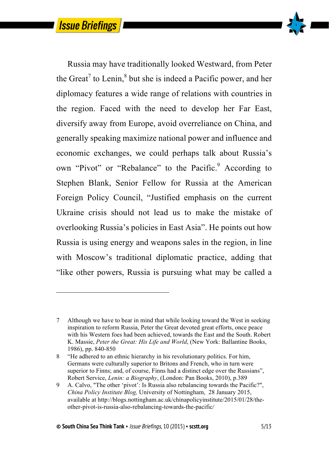$\overline{a}$ 



Russia may have traditionally looked Westward, from Peter the Great<sup>7</sup> to Lenin,<sup>8</sup> but she is indeed a Pacific power, and her diplomacy features a wide range of relations with countries in the region. Faced with the need to develop her Far East, diversify away from Europe, avoid overreliance on China, and generally speaking maximize national power and influence and economic exchanges, we could perhaps talk about Russia's own "Pivot" or "Rebalance" to the Pacific.<sup>9</sup> According to Stephen Blank, Senior Fellow for Russia at the American Foreign Policy Council, "Justified emphasis on the current Ukraine crisis should not lead us to make the mistake of overlooking Russia's policies in East Asia". He points out how Russia is using energy and weapons sales in the region, in line with Moscow's traditional diplomatic practice, adding that "like other powers, Russia is pursuing what may be called a

<sup>7</sup> Although we have to bear in mind that while looking toward the West in seeking inspiration to reform Russia, Peter the Great devoted great efforts, once peace with his Western foes had been achieved, towards the East and the South. Robert K. Massie, *Peter the Great: His Life and World*, (New York: Ballantine Books, 1986), pp. 840-850

<sup>8</sup> "He adhered to an ethnic hierarchy in his revolutionary politics. For him, Germans were culturally superior to Britons and French, who in turn were superior to Finns; and, of course, Finns had a distinct edge over the Russians", Robert Service, *Lenin: a Biography*, (London: Pan Books, 2010), p.389

<sup>9</sup> A. Calvo, "The other 'pivot': Is Russia also rebalancing towards the Pacific?", *China Policy Institute Blog,* University of Nottingham, 28 January 2015, available at http://blogs.nottingham.ac.uk/chinapolicyinstitute/2015/01/28/theother-pivot-is-russia-also-rebalancing-towards-the-pacific/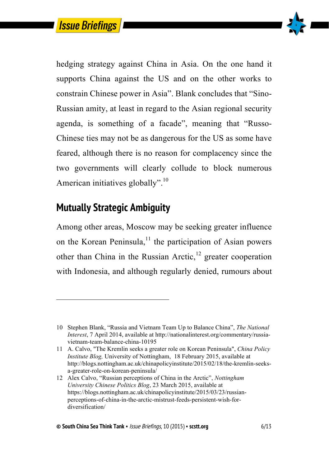

hedging strategy against China in Asia. On the one hand it supports China against the US and on the other works to constrain Chinese power in Asia". Blank concludes that "Sino-Russian amity, at least in regard to the Asian regional security agenda, is something of a facade", meaning that "Russo-Chinese ties may not be as dangerous for the US as some have feared, although there is no reason for complacency since the two governments will clearly collude to block numerous American initiatives globally".<sup>10</sup>

### **Mutually Strategic Ambiguity**

 $\overline{a}$ 

Among other areas, Moscow may be seeking greater influence on the Korean Peninsula, $^{11}$  the participation of Asian powers other than China in the Russian Arctic, $12$  greater cooperation with Indonesia, and although regularly denied, rumours about

<sup>10</sup> Stephen Blank, "Russia and Vietnam Team Up to Balance China", *The National Interest*, 7 April 2014, available at http://nationalinterest.org/commentary/russiavietnam-team-balance-china-10195

<sup>11</sup> A. Calvo, "The Kremlin seeks a greater role on Korean Peninsula", *China Policy Institute Blog,* University of Nottingham, 18 February 2015, available at http://blogs.nottingham.ac.uk/chinapolicyinstitute/2015/02/18/the-kremlin-seeksa-greater-role-on-korean-peninsula/

<sup>12</sup> Alex Calvo, "Russian perceptions of China in the Arctic", *Nottingham University Chinese Politics Blog*, 23 March 2015, available at https://blogs.nottingham.ac.uk/chinapolicyinstitute/2015/03/23/russianperceptions-of-china-in-the-arctic-mistrust-feeds-persistent-wish-fordiversification/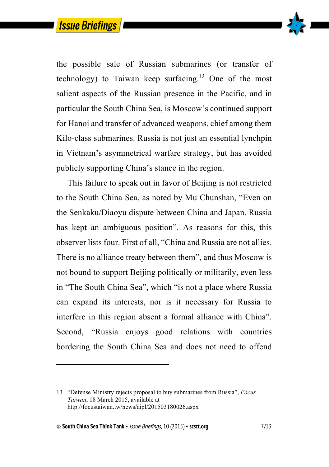

the possible sale of Russian submarines (or transfer of technology) to Taiwan keep surfacing.<sup>13</sup> One of the most salient aspects of the Russian presence in the Pacific, and in particular the South China Sea, is Moscow's continued support for Hanoi and transfer of advanced weapons, chief among them Kilo-class submarines. Russia is not just an essential lynchpin in Vietnam's asymmetrical warfare strategy, but has avoided publicly supporting China's stance in the region.

This failure to speak out in favor of Beijing is not restricted to the South China Sea, as noted by Mu Chunshan, "Even on the Senkaku/Diaoyu dispute between China and Japan, Russia has kept an ambiguous position". As reasons for this, this observer lists four. First of all, "China and Russia are not allies. There is no alliance treaty between them", and thus Moscow is not bound to support Beijing politically or militarily, even less in "The South China Sea", which "is not a place where Russia can expand its interests, nor is it necessary for Russia to interfere in this region absent a formal alliance with China". Second, "Russia enjoys good relations with countries bordering the South China Sea and does not need to offend

 $\overline{a}$ 

<sup>13</sup> "Defense Ministry rejects proposal to buy submarines from Russia", *Focus Taiwan*, 18 March 2015, available at http://focustaiwan.tw/news/aipl/201503180026.aspx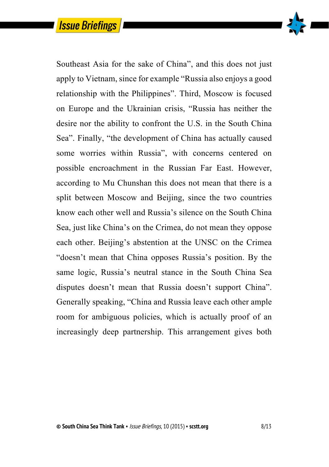

Southeast Asia for the sake of China", and this does not just apply to Vietnam, since for example "Russia also enjoys a good relationship with the Philippines". Third, Moscow is focused on Europe and the Ukrainian crisis, "Russia has neither the desire nor the ability to confront the U.S. in the South China Sea". Finally, "the development of China has actually caused some worries within Russia", with concerns centered on possible encroachment in the Russian Far East. However, according to Mu Chunshan this does not mean that there is a split between Moscow and Beijing, since the two countries know each other well and Russia's silence on the South China Sea, just like China's on the Crimea, do not mean they oppose each other. Beijing's abstention at the UNSC on the Crimea "doesn't mean that China opposes Russia's position. By the same logic, Russia's neutral stance in the South China Sea disputes doesn't mean that Russia doesn't support China". Generally speaking, "China and Russia leave each other ample room for ambiguous policies, which is actually proof of an increasingly deep partnership. This arrangement gives both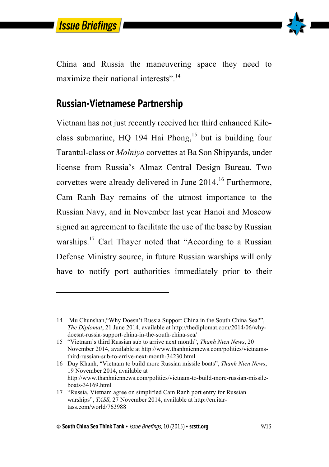

 $\overline{a}$ 



China and Russia the maneuvering space they need to maximize their national interests"<sup>14</sup>

#### **Russian-Vietnamese Partnership**

Vietnam has not just recently received her third enhanced Kiloclass submarine,  $HO$  194 Hai Phong,<sup>15</sup> but is building four Tarantul-class or *Molniya* corvettes at Ba Son Shipyards, under license from Russia's Almaz Central Design Bureau. Two corvettes were already delivered in June 2014.<sup>16</sup> Furthermore, Cam Ranh Bay remains of the utmost importance to the Russian Navy, and in November last year Hanoi and Moscow signed an agreement to facilitate the use of the base by Russian warships.<sup>17</sup> Carl Thayer noted that "According to a Russian Defense Ministry source, in future Russian warships will only have to notify port authorities immediately prior to their

16 Duy Khanh, "Vietnam to build more Russian missile boats", *Thanh Nien News*, 19 November 2014, available at http://www.thanhniennews.com/politics/vietnam-to-build-more-russian-missileboats-34169.html

<sup>14</sup> Mu Chunshan,"Why Doesn't Russia Support China in the South China Sea?", *The Diplomat*, 21 June 2014, available at http://thediplomat.com/2014/06/whydoesnt-russia-support-china-in-the-south-china-sea/

<sup>15</sup> "Vietnam's third Russian sub to arrive next month", *Thanh Nien News*, 20 November 2014, available at http://www.thanhniennews.com/politics/vietnamsthird-russian-sub-to-arrive-next-month-34230.html

<sup>17</sup> "Russia, Vietnam agree on simplified Cam Ranh port entry for Russian warships", *TASS*, 27 November 2014, available at http://en.itartass.com/world/763988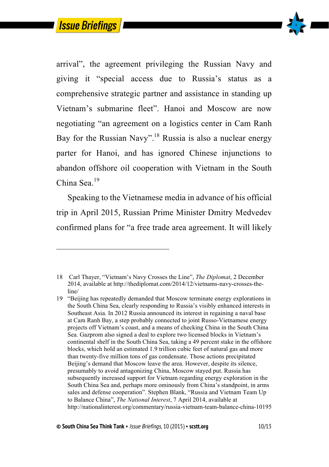$\ddot{ }$ 



arrival", the agreement privileging the Russian Navy and giving it "special access due to Russia's status as a comprehensive strategic partner and assistance in standing up Vietnam's submarine fleet". Hanoi and Moscow are now negotiating "an agreement on a logistics center in Cam Ranh Bay for the Russian Navy".<sup>18</sup> Russia is also a nuclear energy parter for Hanoi, and has ignored Chinese injunctions to abandon offshore oil cooperation with Vietnam in the South China Sea.<sup>19</sup>

Speaking to the Vietnamese media in advance of his official trip in April 2015, Russian Prime Minister Dmitry Medvedev confirmed plans for "a free trade area agreement. It will likely

<sup>18</sup> Carl Thayer, "Vietnam's Navy Crosses the Line", *The Diplomat*, 2 December 2014, available at http://thediplomat.com/2014/12/vietnams-navy-crosses-theline/

<sup>19</sup> "Beijing has repeatedly demanded that Moscow terminate energy explorations in the South China Sea, clearly responding to Russia's visibly enhanced interests in Southeast Asia. In 2012 Russia announced its interest in regaining a naval base at Cam Ranh Bay, a step probably connected to joint Russo-Vietnamese energy projects off Vietnam's coast, and a means of checking China in the South China Sea. Gazprom also signed a deal to explore two licensed blocks in Vietnam's continental shelf in the South China Sea, taking a 49 percent stake in the offshore blocks, which hold an estimated 1.9 trillion cubic feet of natural gas and more than twenty-five million tons of gas condensate. Those actions precipitated Beijing's demand that Moscow leave the area. However, despite its silence, presumably to avoid antagonizing China, Moscow stayed put. Russia has subsequently increased support for Vietnam regarding energy exploration in the South China Sea and, perhaps more ominously from China's standpoint, in arms sales and defense cooperation". Stephen Blank, "Russia and Vietnam Team Up to Balance China", *The National Interest*, 7 April 2014, available at http://nationalinterest.org/commentary/russia-vietnam-team-balance-china-10195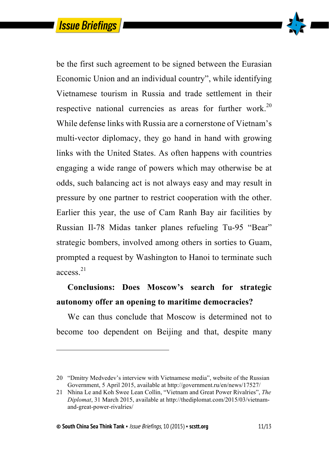

be the first such agreement to be signed between the Eurasian Economic Union and an individual country", while identifying Vietnamese tourism in Russia and trade settlement in their respective national currencies as areas for further work.<sup>20</sup> While defense links with Russia are a cornerstone of Vietnam's multi-vector diplomacy, they go hand in hand with growing links with the United States. As often happens with countries engaging a wide range of powers which may otherwise be at odds, such balancing act is not always easy and may result in pressure by one partner to restrict cooperation with the other. Earlier this year, the use of Cam Ranh Bay air facilities by Russian Il-78 Midas tanker planes refueling Tu-95 "Bear" strategic bombers, involved among others in sorties to Guam, prompted a request by Washington to Hanoi to terminate such access. 21

#### **Conclusions: Does Moscow's search for strategic autonomy offer an opening to maritime democracies?**

We can thus conclude that Moscow is determined not to become too dependent on Beijing and that, despite many

l

<sup>20</sup> "Dmitry Medvedev's interview with Vietnamese media", website of the Russian Government, 5 April 2015, available at http://government.ru/en/news/17527/

<sup>21</sup> Nhina Le and Koh Swee Lean Collin, "Vietnam and Great Power Rivalries", *The Diplomat*, 31 March 2015, available at http://thediplomat.com/2015/03/vietnamand-great-power-rivalries/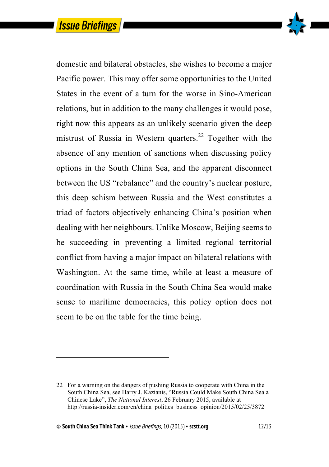

domestic and bilateral obstacles, she wishes to become a major Pacific power. This may offer some opportunities to the United States in the event of a turn for the worse in Sino-American relations, but in addition to the many challenges it would pose, right now this appears as an unlikely scenario given the deep mistrust of Russia in Western quarters.<sup>22</sup> Together with the absence of any mention of sanctions when discussing policy options in the South China Sea, and the apparent disconnect between the US "rebalance" and the country's nuclear posture, this deep schism between Russia and the West constitutes a triad of factors objectively enhancing China's position when dealing with her neighbours. Unlike Moscow, Beijing seems to be succeeding in preventing a limited regional territorial conflict from having a major impact on bilateral relations with Washington. At the same time, while at least a measure of coordination with Russia in the South China Sea would make sense to maritime democracies, this policy option does not seem to be on the table for the time being.

 $\overline{a}$ 

<sup>22</sup> For a warning on the dangers of pushing Russia to cooperate with China in the South China Sea, see Harry J. Kazianis, "Russia Could Make South China Sea a Chinese Lake", *The National Interest*, 26 February 2015, available at http://russia-insider.com/en/china\_politics\_business\_opinion/2015/02/25/3872